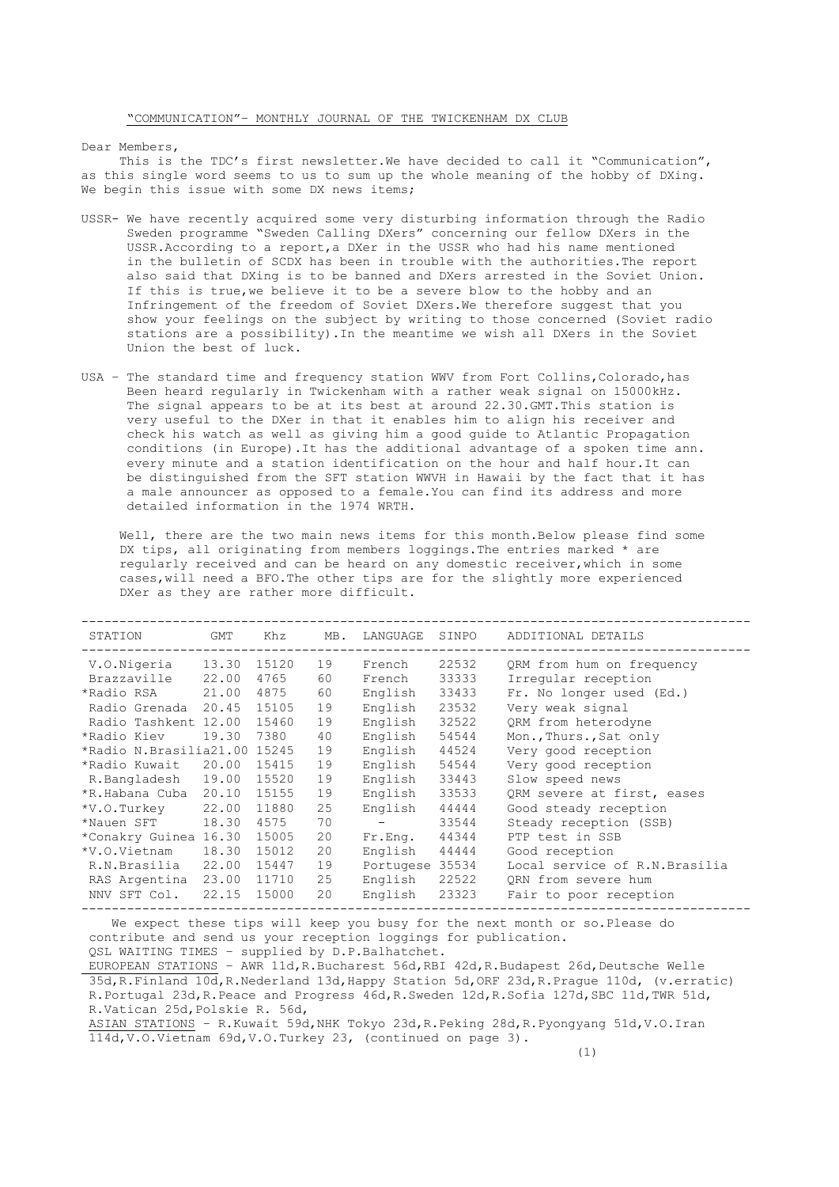Dear Members,

This is the TDC's first newsletter. We have decided to call it "Communication", as this single word seems to us to sum up the whole meaning of the hobby of DXing. We begin this issue with some DX news items;

- USSR- We have recently acquired some very disturbing information through the Radio Sweden programme "Sweden Calling DXers" concerning our fellow DXers in the USSR.According to a report,a DXer in the USSR who had his name mentioned in the bulletin of SCDX has been in trouble with the authorities.The report also said that DXing is to be banned and DXers arrested in the Soviet Union. If this is true,we believe it to be a severe blow to the hobby and an Infringement of the freedom of Soviet DXers.We therefore suggest that you show your feelings on the subject by writing to those concerned (Soviet radio stations are a possibility).In the meantime we wish all DXers in the Soviet Union the best of luck.
- USA The standard time and frequency station WWV from Fort Collins, Colorado, has Been heard regularly in Twickenham with a rather weak signal on 15000kHz. The signal appears to be at its best at around 22.30.GMT.This station is very useful to the DXer in that it enables him to align his receiver and check his watch as well as giving him a good guide to Atlantic Propagation conditions (in Europe).It has the additional advantage of a spoken time ann. every minute and a station identification on the hour and half hour.It can be distinguished from the SFT station WWVH in Hawaii by the fact that it has a male announcer as opposed to a female.You can find its address and more detailed information in the 1974 WRTH.

Well, there are the two main news items for this month. Below please find some DX tips, all originating from members loggings.The entries marked \* are regularly received and can be heard on any domestic receiver,which in some cases,will need a BFO.The other tips are for the slightly more experienced DXer as they are rather more difficult.

| STATION                      | GMT   | Khz   | MB. | LANGUAGE        | SINPO | ADDITIONAL DETAILS             |
|------------------------------|-------|-------|-----|-----------------|-------|--------------------------------|
| V.O.Nigeria                  | 13.30 | 15120 | 19  | French          | 22532 | QRM from hum on frequency      |
| Brazzaville                  | 22.00 | 4765  | 60  | French          | 33333 | Irregular reception            |
| *Radio RSA                   | 21.00 | 4875  | 60  | English         | 33433 | Fr. No longer used (Ed.)       |
| Radio Grenada 20.45          |       | 15105 | 19  | English         | 23532 | Very weak signal               |
| Radio Tashkent 12.00         |       | 15460 | 19  | English         | 32522 | QRM from heterodyne            |
| *Radio Kiev                  | 19.30 | 7380  | 40  | English         | 54544 | Mon., Thurs., Sat only         |
| *Radio N.Brasilia21.00 15245 |       |       | 19  | English         | 44524 | Very good reception            |
| *Radio Kuwait 20.00          |       | 15415 | 19  | English         | 54544 | Very good reception            |
| R.Bangladesh 19.00           |       | 15520 | 19  | English         | 33443 | Slow speed news                |
| *R.Habana Cuba               | 20.10 | 15155 | 19  | English         | 33533 | QRM severe at first, eases     |
| *V.O.Turkey                  | 22.00 | 11880 | 25  | English         | 44444 | Good steady reception          |
| *Nauen SFT                   | 18.30 | 4575  | 70  |                 | 33544 | Steady reception (SSB)         |
| *Conakry Guinea 16.30        |       | 15005 | 20  | Fr.Enq.         | 44344 | PTP test in SSB                |
| *V.O.Vietnam                 | 18.30 | 15012 | 20  | English         | 44444 | Good reception                 |
| R.N.Brasilia 22.00           |       | 15447 | 19  | Portugese 35534 |       | Local service of R.N. Brasilia |
| RAS Argentina                | 23.00 | 11710 | 25  | English         | 22522 | ORN from severe hum            |
| NNV SFT Col.                 | 22.15 | 15000 | 20  | English         | 23323 | Fair to poor reception         |
|                              |       |       |     |                 |       |                                |

 We expect these tips will keep you busy for the next month or so.Please do contribute and send us your reception loggings for publication. QSL WAITING TIMES – supplied by D.P.Balhatchet.

EUROPEAN STATIONS – AWR 11d,R.Bucharest 56d,RBI 42d,R.Budapest 26d,Deutsche Welle 35d,R.Finland 10d,R.Nederland 13d,Happy Station 5d,ORF 23d,R.Prague 110d, (v.erratic) R.Portugal 23d,R.Peace and Progress 46d,R.Sweden 12d,R.Sofia 127d,SBC 11d,TWR 51d, R.Vatican 25d,Polskie R. 56d,

ASIAN STATIONS – R.Kuwait 59d,NHK Tokyo 23d,R.Peking 28d,R.Pyongyang 51d,V.O.Iran 114d,V.O.Vietnam 69d,V.O.Turkey 23, (continued on page 3).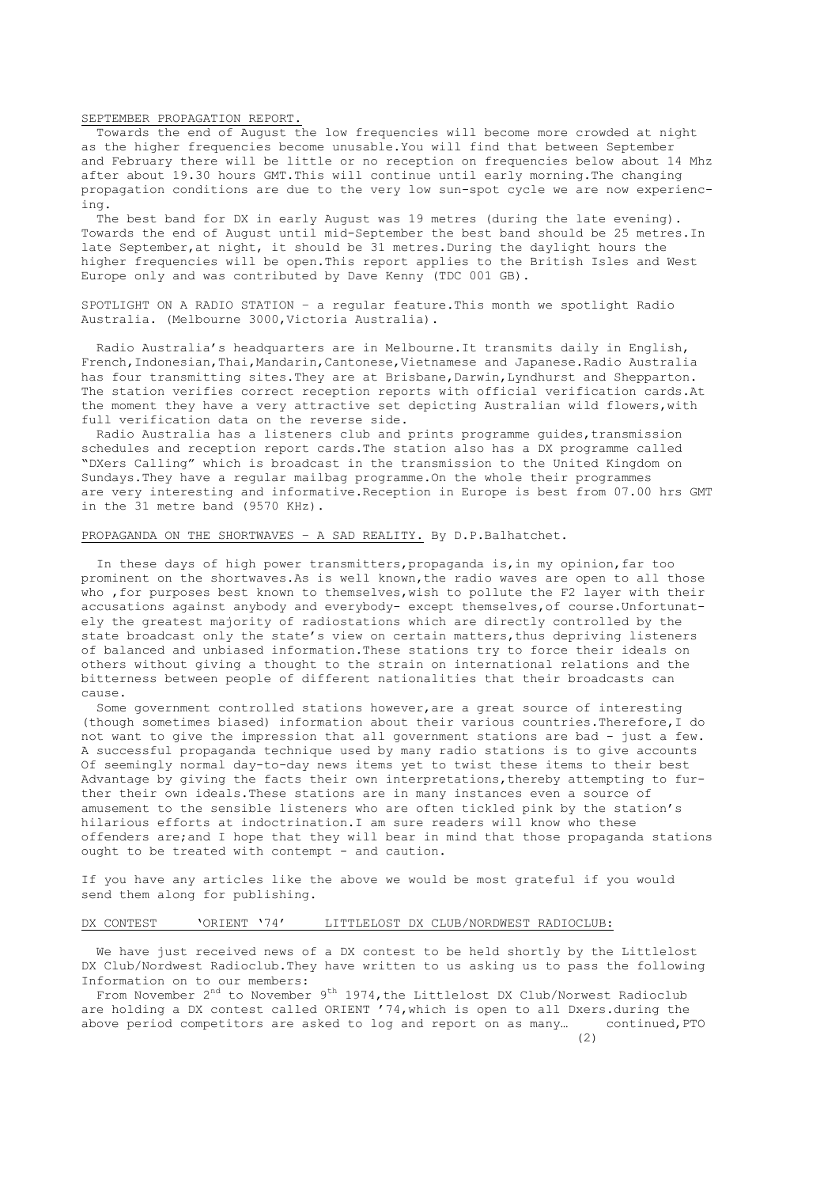SEPTEMBER PROPAGATION REPORT.

 Towards the end of August the low frequencies will become more crowded at night as the higher frequencies become unusable.You will find that between September and February there will be little or no reception on frequencies below about 14 Mhz after about 19.30 hours GMT. This will continue until early morning. The changing propagation conditions are due to the very low sun-spot cycle we are now experiencing.

 The best band for DX in early August was 19 metres (during the late evening). Towards the end of August until mid-September the best band should be 25 metres.In late September,at night, it should be 31 metres.During the daylight hours the higher frequencies will be open.This report applies to the British Isles and West Europe only and was contributed by Dave Kenny (TDC 001 GB).

SPOTLIGHT ON A RADIO STATION – a regular feature.This month we spotlight Radio Australia. (Melbourne 3000,Victoria Australia).

 Radio Australia's headquarters are in Melbourne.It transmits daily in English, French,Indonesian,Thai,Mandarin,Cantonese,Vietnamese and Japanese.Radio Australia has four transmitting sites. They are at Brisbane, Darwin, Lyndhurst and Shepparton. The station verifies correct reception reports with official verification cards.At the moment they have a very attractive set depicting Australian wild flowers,with full verification data on the reverse side.

Radio Australia has a listeners club and prints programme guides, transmission schedules and reception report cards.The station also has a DX programme called "DXers Calling" which is broadcast in the transmission to the United Kingdom on Sundays.They have a regular mailbag programme.On the whole their programmes are very interesting and informative.Reception in Europe is best from 07.00 hrs GMT in the 31 metre band (9570 KHz).

## PROPAGANDA ON THE SHORTWAVES – A SAD REALITY. By D.P.Balhatchet.

 In these days of high power transmitters,propaganda is,in my opinion,far too prominent on the shortwaves.As is well known,the radio waves are open to all those who ,for purposes best known to themselves,wish to pollute the F2 layer with their accusations against anybody and everybody- except themselves,of course.Unfortunately the greatest majority of radiostations which are directly controlled by the state broadcast only the state's view on certain matters,thus depriving listeners of balanced and unbiased information.These stations try to force their ideals on others without giving a thought to the strain on international relations and the bitterness between people of different nationalities that their broadcasts can cause.

 Some government controlled stations however,are a great source of interesting (though sometimes biased) information about their various countries.Therefore,I do not want to give the impression that all government stations are bad - just a few. A successful propaganda technique used by many radio stations is to give accounts Of seemingly normal day-to-day news items yet to twist these items to their best Advantage by giving the facts their own interpretations,thereby attempting to further their own ideals.These stations are in many instances even a source of amusement to the sensible listeners who are often tickled pink by the station's hilarious efforts at indoctrination.I am sure readers will know who these offenders are;and I hope that they will bear in mind that those propaganda stations ought to be treated with contempt - and caution.

If you have any articles like the above we would be most grateful if you would send them along for publishing.

## DX CONTEST 'ORIENT '74' LITTLELOST DX CLUB/NORDWEST RADIOCLUB:

We have just received news of a DX contest to be held shortly by the Littlelost DX Club/Nordwest Radioclub.They have written to us asking us to pass the following Information on to our members:

From November 2<sup>nd</sup> to November 9<sup>th</sup> 1974, the Littlelost DX Club/Norwest Radioclub are holding a DX contest called ORIENT '74,which is open to all Dxers.during the above period competitors are asked to log and report on as many… continued,PTO

(2)